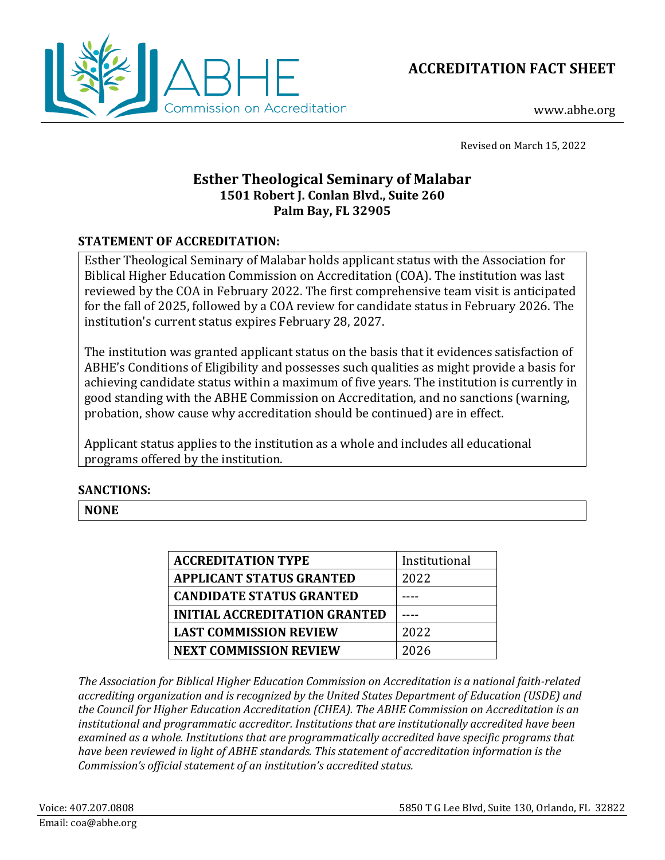



www.abhe.org

Revised on March 15, 2022

# **Esther Theological Seminary of Malabar 1501 Robert J. Conlan Blvd., Suite 260 Palm Bay, FL 32905**

## **STATEMENT OF ACCREDITATION:**

Esther Theological Seminary of Malabar holds applicant status with the Association for Biblical Higher Education Commission on Accreditation (COA). The institution was last reviewed by the COA in February 2022. The first comprehensive team visit is anticipated for the fall of 2025, followed by a COA review for candidate status in February 2026. The institution's current status expires February 28, 2027.

The institution was granted applicant status on the basis that it evidences satisfaction of ABHE's Conditions of Eligibility and possesses such qualities as might provide a basis for achieving candidate status within a maximum of five years. The institution is currently in good standing with the ABHE Commission on Accreditation, and no sanctions (warning, probation, show cause why accreditation should be continued) are in effect.

Applicant status applies to the institution as a whole and includes all educational programs offered by the institution.

## **SANCTIONS:**

**NONE**

| <b>ACCREDITATION TYPE</b>       | Institutional |
|---------------------------------|---------------|
| <b>APPLICANT STATUS GRANTED</b> | 2022          |
| <b>CANDIDATE STATUS GRANTED</b> |               |
| INITIAL ACCREDITATION GRANTED   |               |
| <b>LAST COMMISSION REVIEW</b>   | 2022          |
| <b>NEXT COMMISSION REVIEW</b>   | 2026          |

*The Association for Biblical Higher Education Commission on Accreditation is a national faith-related accrediting organization and is recognized by the United States Department of Education (USDE) and the Council for Higher Education Accreditation (CHEA). The ABHE Commission on Accreditation is an institutional and programmatic accreditor. Institutions that are institutionally accredited have been examined as a whole. Institutions that are programmatically accredited have specific programs that have been reviewed in light of ABHE standards. This statement of accreditation information is the Commission's official statement of an institution's accredited status.*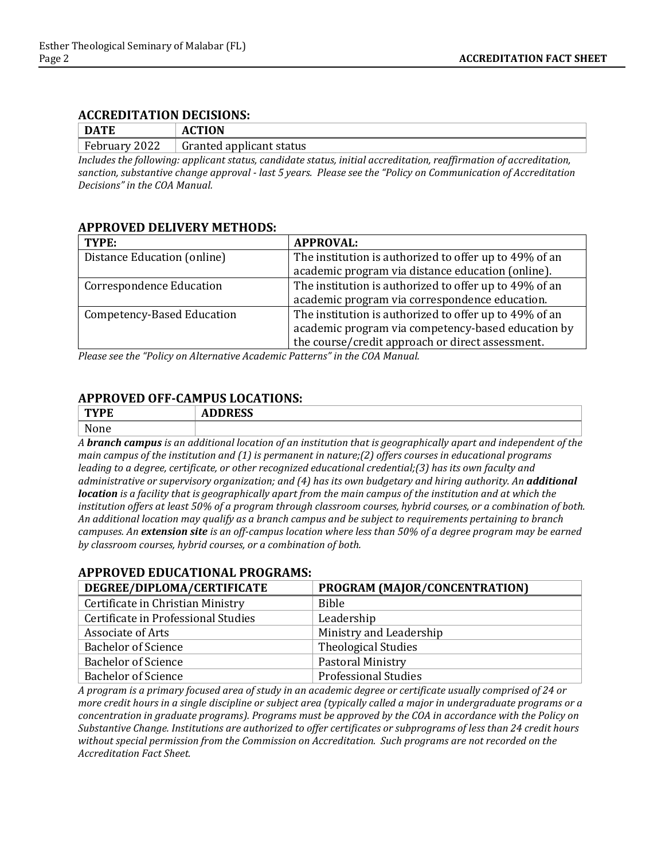#### **ACCREDITATION DECISIONS:**

| <b>DATE</b>                              | АI                       |
|------------------------------------------|--------------------------|
| $E_{\rm{eff}}$<br>2022<br>$r$ ebruar $r$ | Granted applicant status |

*Includes the following: applicant status, candidate status, initial accreditation, reaffirmation of accreditation, sanction, substantive change approval - last 5 years. Please see the "Policy on Communication of Accreditation Decisions" in the COA Manual.*

#### **APPROVED DELIVERY METHODS:**

| TYPE:                           | <b>APPROVAL:</b>                                       |
|---------------------------------|--------------------------------------------------------|
| Distance Education (online)     | The institution is authorized to offer up to 49% of an |
|                                 | academic program via distance education (online).      |
| <b>Correspondence Education</b> | The institution is authorized to offer up to 49% of an |
|                                 | academic program via correspondence education.         |
| Competency-Based Education      | The institution is authorized to offer up to 49% of an |
|                                 | academic program via competency-based education by     |
|                                 | the course/credit approach or direct assessment.       |

*Please see the "Policy on Alternative Academic Patterns" in the COA Manual.*

### **APPROVED OFF-CAMPUS LOCATIONS:**

|           | <b>IDDDPCC</b><br>ADDINEJJ |
|-----------|----------------------------|
| <b>NT</b> |                            |

*A branch campus is an additional location of an institution that is geographically apart and independent of the main campus of the institution and (1) is permanent in nature;(2) offers courses in educational programs leading to a degree, certificate, or other recognized educational credential;(3) has its own faculty and administrative or supervisory organization; and (4) has its own budgetary and hiring authority. An additional location is a facility that is geographically apart from the main campus of the institution and at which the institution offers at least 50% of a program through classroom courses, hybrid courses, or a combination of both. An additional location may qualify as a branch campus and be subject to requirements pertaining to branch campuses. An extension site is an off-campus location where less than 50% of a degree program may be earned by classroom courses, hybrid courses, or a combination of both.*

## **APPROVED EDUCATIONAL PROGRAMS:**

| DEGREE/DIPLOMA/CERTIFICATE          | PROGRAM (MAJOR/CONCENTRATION) |
|-------------------------------------|-------------------------------|
| Certificate in Christian Ministry   | <b>Bible</b>                  |
| Certificate in Professional Studies | Leadership                    |
| Associate of Arts                   | Ministry and Leadership       |
| <b>Bachelor of Science</b>          | <b>Theological Studies</b>    |
| <b>Bachelor of Science</b>          | Pastoral Ministry             |
| <b>Bachelor of Science</b>          | <b>Professional Studies</b>   |

*A program is a primary focused area of study in an academic degree or certificate usually comprised of 24 or more credit hours in a single discipline or subject area (typically called a major in undergraduate programs or a concentration in graduate programs). Programs must be approved by the COA in accordance with the Policy on Substantive Change. Institutions are authorized to offer certificates or subprograms of less than 24 credit hours without special permission from the Commission on Accreditation. Such programs are not recorded on the Accreditation Fact Sheet.*